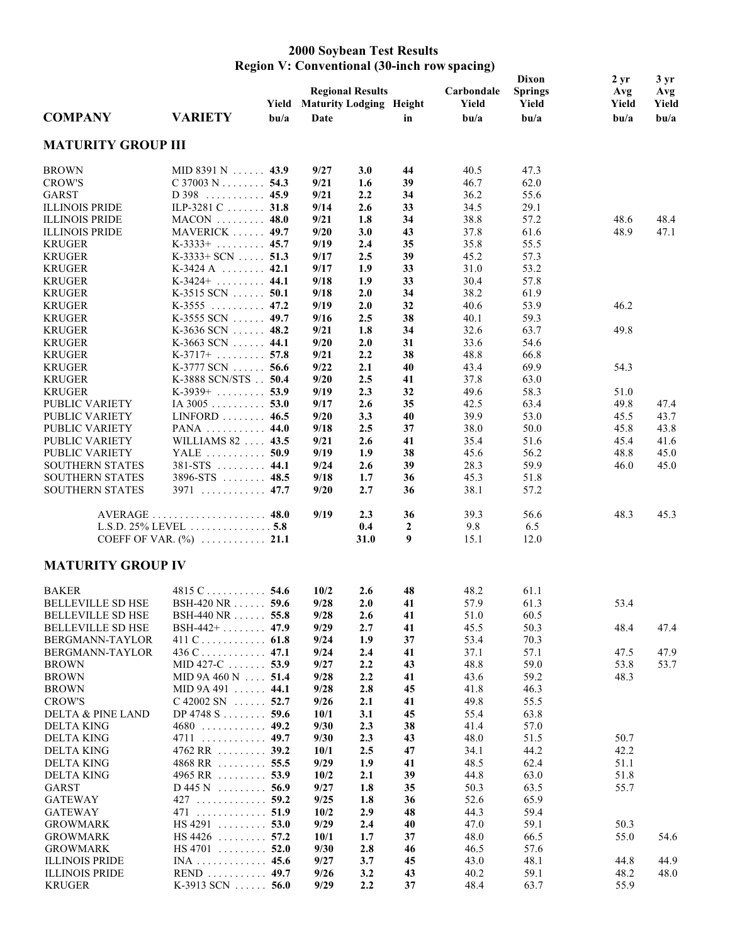## **2000 Soybean Test Results Region V: Conventional (30-inch row spacing)**

|                                        |                                 | Yield            | <b>Regional Results</b><br><b>Maturity Lodging Height</b> |            |          | Carbondale<br>Yield | Dixon<br><b>Springs</b><br>Yield | 2 <sub>yr</sub><br>Avg<br>Yield | 3 <sub>yr</sub><br>Avg<br>Yield |
|----------------------------------------|---------------------------------|------------------|-----------------------------------------------------------|------------|----------|---------------------|----------------------------------|---------------------------------|---------------------------------|
| <b>COMPANY</b>                         | <b>VARIETY</b>                  | b <sub>u/a</sub> | Date                                                      |            | in       | b <sub>u/a</sub>    | b <sub>u/a</sub>                 | b <sub>u/a</sub>                | b <sub>u/a</sub>                |
| <b>MATURITY GROUP III</b>              |                                 |                  |                                                           |            |          |                     |                                  |                                 |                                 |
| <b>BROWN</b>                           | MID 8391 N $\dots$ 43.9         |                  | 9/27                                                      | 3.0        | 44       | 40.5                | 47.3                             |                                 |                                 |
| CROW'S                                 | $C$ 37003 N 54.3                |                  | 9/21                                                      | 1.6        | 39       | 46.7                | 62.0                             |                                 |                                 |
| <b>GARST</b>                           | $D$ 398 45.9                    |                  | 9/21                                                      | 2.2        | 34       | 36.2                | 55.6                             |                                 |                                 |
| <b>ILLINOIS PRIDE</b>                  | ILP-3281 C 31.8                 |                  | 9/14                                                      | 2.6        | 33       | 34.5                | 29.1                             |                                 |                                 |
| <b>ILLINOIS PRIDE</b>                  | $MACON$ 48.0                    |                  | 9/21                                                      | 1.8        | 34       | 38.8                | 57.2                             | 48.6                            | 48.4                            |
| <b>ILLINOIS PRIDE</b>                  | <b>MAVERICK</b> 49.7            |                  | 9/20                                                      | 3.0        | 43       | 37.8                | 61.6                             | 48.9                            | 47.1                            |
| <b>KRUGER</b>                          | $K-3333+$ 45.7                  |                  | 9/19                                                      | 2.4        | 35       | 35.8                | 55.5                             |                                 |                                 |
| <b>KRUGER</b>                          | $K-3333+SCN$ 51.3               |                  | 9/17                                                      | 2.5        | 39       | 45.2                | 57.3                             |                                 |                                 |
| <b>KRUGER</b>                          | $K-3424A$ 42.1                  |                  | 9/17                                                      | 1.9        | 33       | 31.0                | 53.2                             |                                 |                                 |
| <b>KRUGER</b>                          | $K-3424+ \ldots$                | 44.1             | 9/18                                                      | 1.9        | 33       | 30.4                | 57.8                             |                                 |                                 |
| <b>KRUGER</b>                          | $K-3515$ SCN  50.1              |                  | 9/18                                                      | 2.0        | 34       | 38.2                | 61.9                             |                                 |                                 |
| <b>KRUGER</b>                          | $K-3555$                        | 47.2             | 9/19                                                      | 2.0        | 32       | 40.6                | 53.9                             | 46.2                            |                                 |
| <b>KRUGER</b>                          | K-3555 SCN 49.7                 |                  | 9/16                                                      | 2.5        | 38       | 40.1                | 59.3                             |                                 |                                 |
| <b>KRUGER</b>                          | $K-3636$ SCN $\ldots$ 48.2      |                  | 9/21                                                      | 1.8        | 34       | 32.6                | 63.7                             | 49.8                            |                                 |
| <b>KRUGER</b>                          | $K-3663$ SCN $\ldots$           | 44.1             | 9/20                                                      | 2.0        | 31       | 33.6                | 54.6                             |                                 |                                 |
| <b>KRUGER</b>                          | $K-3717+$ 57.8                  |                  | 9/21                                                      | 2.2        | 38       | 48.8                | 66.8                             |                                 |                                 |
| <b>KRUGER</b>                          | $K-3777$ SCN  56.6              |                  | 9/22                                                      | 2.1        | 40       | 43.4                | 69.9                             | 54.3                            |                                 |
| <b>KRUGER</b>                          | K-3888 SCN/STS 50.4             |                  | 9/20                                                      | 2.5        | 41       | 37.8                | 63.0                             |                                 |                                 |
| <b>KRUGER</b>                          | $K-3939+$ 53.9<br>IA 3005 53.0  |                  | 9/19<br>9/17                                              | 2.3<br>2.6 | 32<br>35 | 49.6                | 58.3                             | 51.0                            |                                 |
| PUBLIC VARIETY<br>PUBLIC VARIETY       | $LINFORM$ 46.5                  |                  | 9/20                                                      | 3.3        | 40       | 42.5<br>39.9        | 63.4<br>53.0                     | 49.8<br>45.5                    | 47.4<br>43.7                    |
| PUBLIC VARIETY                         | $PANA$                          | 44.0             | 9/18                                                      | 2.5        | 37       | 38.0                | 50.0                             | 45.8                            | 43.8                            |
| PUBLIC VARIETY                         | WILLIAMS 82  43.5               |                  | 9/21                                                      | 2.6        | 41       | 35.4                | 51.6                             | 45.4                            | 41.6                            |
| PUBLIC VARIETY                         | YALE $\ldots \ldots \ldots$     | 50.9             | 9/19                                                      | 1.9        | 38       | 45.6                | 56.2                             | 48.8                            | 45.0                            |
| <b>SOUTHERN STATES</b>                 | $381-STS$ 44.1                  |                  | 9/24                                                      | 2.6        | 39       | 28.3                | 59.9                             | 46.0                            | 45.0                            |
| <b>SOUTHERN STATES</b>                 | $3896-STS$ 48.5                 |                  | 9/18                                                      | 1.7        | 36       | 45.3                | 51.8                             |                                 |                                 |
| SOUTHERN STATES                        | $3971$ 47.7                     |                  | 9/20                                                      | 2.7        | 36       | 38.1                | 57.2                             |                                 |                                 |
|                                        |                                 |                  | 9/19                                                      | 2.3        | 36       | 39.3                | 56.6                             | 48.3                            | 45.3                            |
|                                        | L.S.D. $25\%$ LEVEL  5.8        |                  |                                                           | 0.4        | 2        | 9.8                 | 6.5                              |                                 |                                 |
|                                        |                                 |                  |                                                           | 31.0       | 9        | 15.1                | 12.0                             |                                 |                                 |
| <b>MATURITY GROUP IV</b>               |                                 |                  |                                                           |            |          |                     |                                  |                                 |                                 |
| <b>BAKER</b>                           | $4815$ C 54.6                   |                  | 10/2                                                      | 2.6        | 48       | 48.2                | 61.1                             |                                 |                                 |
| <b>BELLEVILLE SD HSE</b>               | BSH-420 NR 59.6                 |                  | 9/28                                                      | 2.0        | 41       | 57.9                | 61.3                             | 53.4                            |                                 |
| <b>BELLEVILLE SD HSE</b>               | BSH-440 NR 55.8                 |                  | 9/28                                                      | 2.6        | 41       | 51.0                | 60.5                             |                                 |                                 |
| <b>BELLEVILLE SD HSE</b>               | $BSH-442+$                      | 47.9             | 9/29                                                      | 2.7        | 41       | 45.5                | 50.3                             | 48.4                            | 47.4                            |
| BERGMANN-TAYLOR                        | 411 $C$ 61.8                    |                  | 9/24                                                      | 1.9        | 37       | 53.4                | 70.3                             |                                 |                                 |
| BERGMANN-TAYLOR                        | $436$ C 47.1                    |                  | 9/24                                                      | 2.4        | 41       | 37.1                | 57.1                             | 47.5                            | 47.9                            |
| <b>BROWN</b>                           | MID 427-C $\dots$ 53.9          |                  | 9/27                                                      | 2.2        | 43       | 48.8                | 59.0                             | 53.8                            | 53.7                            |
| <b>BROWN</b>                           | MID 9A 460 N $\ldots$ 51.4      |                  | 9/28                                                      | 2.2        | 41       | 43.6                | 59.2                             | 48.3                            |                                 |
| <b>BROWN</b>                           | MID 9A 491 44.1                 |                  | 9/28                                                      | 2.8        | 45       | 41.8                | 46.3                             |                                 |                                 |
| CROW'S                                 | $C$ 42002 SN $\ldots$ 52.7      |                  | 9/26                                                      | 2.1        | 41       | 49.8                | 55.5                             |                                 |                                 |
| DELTA & PINE LAND                      | DP 4748 S 59.6                  |                  | 10/1                                                      | 3.1        | 45       | 55.4                | 63.8                             |                                 |                                 |
| <b>DELTA KING</b>                      |                                 |                  | 9/30                                                      | 2.3        | 38       | 41.4                | 57.0                             |                                 |                                 |
| <b>DELTA KING</b>                      | $4711$ 49.7                     |                  | 9/30                                                      | 2.3        | 43       | 48.0                | 51.5                             | 50.7                            |                                 |
| <b>DELTA KING</b>                      | 4762 RR 39.2                    |                  | 10/1                                                      | 2.5        | 47       | 34.1                | 44.2                             | 42.2                            |                                 |
| <b>DELTA KING</b><br><b>DELTA KING</b> | $4868$ RR  55.5<br>4965 RR 53.9 |                  | 9/29<br>10/2                                              | 1.9<br>2.1 | 41<br>39 | 48.5<br>44.8        | 62.4<br>63.0                     | 51.1<br>51.8                    |                                 |
| <b>GARST</b>                           | $D$ 445 N 56.9                  |                  | 9/27                                                      | 1.8        | 35       | 50.3                | 63.5                             | 55.7                            |                                 |
| <b>GATEWAY</b>                         | 427 59.2                        |                  | 9/25                                                      | 1.8        | 36       | 52.6                | 65.9                             |                                 |                                 |
| <b>GATEWAY</b>                         | 471 51.9                        |                  | 10/2                                                      | 2.9        | 48       | 44.3                | 59.4                             |                                 |                                 |
| GROWMARK                               | $HS 4291$ 53.0                  |                  | 9/29                                                      | 2.4        | 40       | 47.0                | 59.1                             | 50.3                            |                                 |
| <b>GROWMARK</b>                        | $HS 4426$ 57.2                  |                  | 10/1                                                      | 1.7        | 37       | 48.0                | 66.5                             | 55.0                            | 54.6                            |
| GROWMARK                               | $HS 4701$ 52.0                  |                  | 9/30                                                      | 2.8        | 46       | 46.5                | 57.6                             |                                 |                                 |
| <b>ILLINOIS PRIDE</b>                  | $INA$ 45.6                      |                  | 9/27                                                      | 3.7        | 45       | 43.0                | 48.1                             | 44.8                            | 44.9                            |
| <b>ILLINOIS PRIDE</b>                  | REND  49.7                      |                  | 9/26                                                      | 3.2        | 43       | 40.2                | 59.1                             | 48.2                            | 48.0                            |
| <b>KRUGER</b>                          | $K-3913$ SCN $\ldots$ 56.0      |                  | 9/29                                                      | 2.2        | 37       | 48.4                | 63.7                             | 55.9                            |                                 |